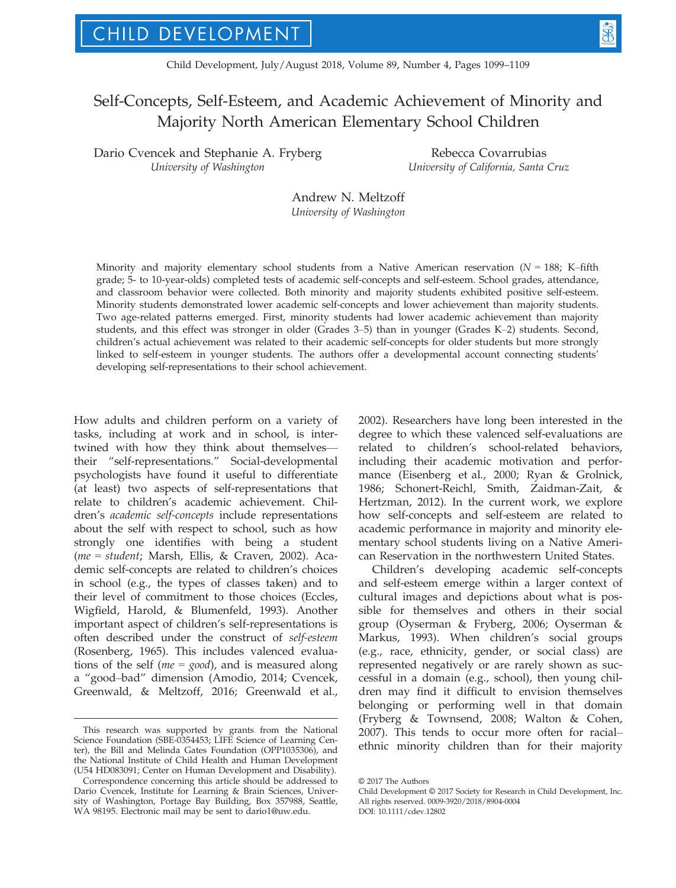Child Development, July/August 2018, Volume 89, Number 4, Pages 1099–1109

# Self-Concepts, Self-Esteem, and Academic Achievement of Minority and Majority North American Elementary School Children

Dario Cvencek and Stephanie A. Fryberg University of Washington

Rebecca Covarrubias University of California, Santa Cruz

Andrew N. Meltzoff University of Washington

Minority and majority elementary school students from a Native American reservation ( $N = 188$ ; K-fifth grade; 5- to 10-year-olds) completed tests of academic self-concepts and self-esteem. School grades, attendance, and classroom behavior were collected. Both minority and majority students exhibited positive self-esteem. Minority students demonstrated lower academic self-concepts and lower achievement than majority students. Two age-related patterns emerged. First, minority students had lower academic achievement than majority students, and this effect was stronger in older (Grades 3–5) than in younger (Grades K–2) students. Second, children's actual achievement was related to their academic self-concepts for older students but more strongly linked to self-esteem in younger students. The authors offer a developmental account connecting students' developing self-representations to their school achievement.

How adults and children perform on a variety of tasks, including at work and in school, is intertwined with how they think about themselves their "self-representations." Social-developmental psychologists have found it useful to differentiate (at least) two aspects of self-representations that relate to children's academic achievement. Children's academic self-concepts include representations about the self with respect to school, such as how strongly one identifies with being a student ( $me = student$ ; Marsh, Ellis, & Craven, 2002). Academic self-concepts are related to children's choices in school (e.g., the types of classes taken) and to their level of commitment to those choices (Eccles, Wigfield, Harold, & Blumenfeld, 1993). Another important aspect of children's self-representations is often described under the construct of self-esteem (Rosenberg, 1965). This includes valenced evaluations of the self ( $me = good$ ), and is measured along a "good–bad" dimension (Amodio, 2014; Cvencek, Greenwald, & Meltzoff, 2016; Greenwald et al.,

2002). Researchers have long been interested in the degree to which these valenced self-evaluations are related to children's school-related behaviors, including their academic motivation and performance (Eisenberg et al., 2000; Ryan & Grolnick, 1986; Schonert-Reichl, Smith, Zaidman-Zait, & Hertzman, 2012). In the current work, we explore how self-concepts and self-esteem are related to academic performance in majority and minority elementary school students living on a Native American Reservation in the northwestern United States.

Children's developing academic self-concepts and self-esteem emerge within a larger context of cultural images and depictions about what is possible for themselves and others in their social group (Oyserman & Fryberg, 2006; Oyserman & Markus, 1993). When children's social groups (e.g., race, ethnicity, gender, or social class) are represented negatively or are rarely shown as successful in a domain (e.g., school), then young children may find it difficult to envision themselves belonging or performing well in that domain (Fryberg & Townsend, 2008; Walton & Cohen, 2007). This tends to occur more often for racial– ethnic minority children than for their majority

This research was supported by grants from the National Science Foundation (SBE-0354453; LIFE Science of Learning Center), the Bill and Melinda Gates Foundation (OPP1035306), and the National Institute of Child Health and Human Development (U54 HD083091; Center on Human Development and Disability).

Correspondence concerning this article should be addressed to Dario Cvencek, Institute for Learning & Brain Sciences, University of Washington, Portage Bay Building, Box 357988, Seattle, WA 98195. Electronic mail may be sent to dario1@uw.edu.

<sup>©</sup> 2017 The Authors

Child Development © 2017 Society for Research in Child Development, Inc. All rights reserved. 0009-3920/2018/8904-0004 DOI: 10.1111/cdev.12802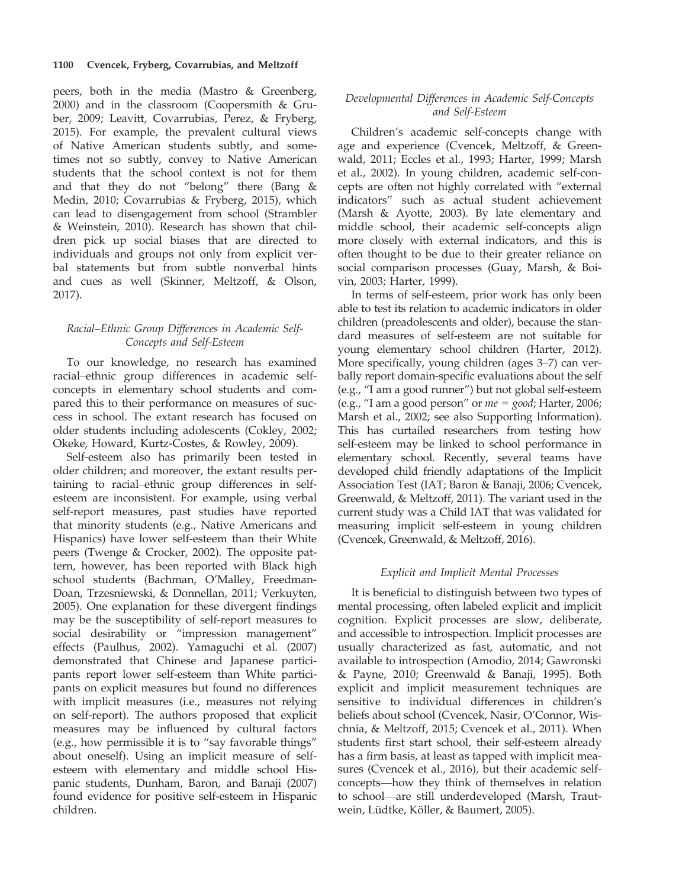peers, both in the media (Mastro & Greenberg, 2000) and in the classroom (Coopersmith & Gruber, 2009; Leavitt, Covarrubias, Perez, & Fryberg, 2015). For example, the prevalent cultural views of Native American students subtly, and sometimes not so subtly, convey to Native American students that the school context is not for them and that they do not "belong" there (Bang & Medin, 2010; Covarrubias & Fryberg, 2015), which can lead to disengagement from school (Strambler & Weinstein, 2010). Research has shown that children pick up social biases that are directed to individuals and groups not only from explicit verbal statements but from subtle nonverbal hints and cues as well (Skinner, Meltzoff, & Olson, 2017).

# Racial–Ethnic Group Differences in Academic Self-Concepts and Self-Esteem

To our knowledge, no research has examined racial–ethnic group differences in academic selfconcepts in elementary school students and compared this to their performance on measures of success in school. The extant research has focused on older students including adolescents (Cokley, 2002; Okeke, Howard, Kurtz-Costes, & Rowley, 2009).

Self-esteem also has primarily been tested in older children; and moreover, the extant results pertaining to racial–ethnic group differences in selfesteem are inconsistent. For example, using verbal self-report measures, past studies have reported that minority students (e.g., Native Americans and Hispanics) have lower self-esteem than their White peers (Twenge & Crocker, 2002). The opposite pattern, however, has been reported with Black high school students (Bachman, O'Malley, Freedman-Doan, Trzesniewski, & Donnellan, 2011; Verkuyten, 2005). One explanation for these divergent findings may be the susceptibility of self-report measures to social desirability or "impression management" effects (Paulhus, 2002). Yamaguchi et al. (2007) demonstrated that Chinese and Japanese participants report lower self-esteem than White participants on explicit measures but found no differences with implicit measures (i.e., measures not relying on self-report). The authors proposed that explicit measures may be influenced by cultural factors (e.g., how permissible it is to "say favorable things" about oneself). Using an implicit measure of selfesteem with elementary and middle school Hispanic students, Dunham, Baron, and Banaji (2007) found evidence for positive self-esteem in Hispanic children.

# Developmental Differences in Academic Self-Concepts and Self-Esteem

Children's academic self-concepts change with age and experience (Cvencek, Meltzoff, & Greenwald, 2011; Eccles et al., 1993; Harter, 1999; Marsh et al., 2002). In young children, academic self-concepts are often not highly correlated with "external indicators" such as actual student achievement (Marsh & Ayotte, 2003). By late elementary and middle school, their academic self-concepts align more closely with external indicators, and this is often thought to be due to their greater reliance on social comparison processes (Guay, Marsh, & Boivin, 2003; Harter, 1999).

In terms of self-esteem, prior work has only been able to test its relation to academic indicators in older children (preadolescents and older), because the standard measures of self-esteem are not suitable for young elementary school children (Harter, 2012). More specifically, young children (ages 3–7) can verbally report domain-specific evaluations about the self (e.g., "I am a good runner") but not global self-esteem (e.g., "I am a good person" or  $me = good$ ; Harter, 2006; Marsh et al., 2002; see also Supporting Information). This has curtailed researchers from testing how self-esteem may be linked to school performance in elementary school. Recently, several teams have developed child friendly adaptations of the Implicit Association Test (IAT; Baron & Banaji, 2006; Cvencek, Greenwald, & Meltzoff, 2011). The variant used in the current study was a Child IAT that was validated for measuring implicit self-esteem in young children (Cvencek, Greenwald, & Meltzoff, 2016).

# Explicit and Implicit Mental Processes

It is beneficial to distinguish between two types of mental processing, often labeled explicit and implicit cognition. Explicit processes are slow, deliberate, and accessible to introspection. Implicit processes are usually characterized as fast, automatic, and not available to introspection (Amodio, 2014; Gawronski & Payne, 2010; Greenwald & Banaji, 1995). Both explicit and implicit measurement techniques are sensitive to individual differences in children's beliefs about school (Cvencek, Nasir, O'Connor, Wischnia, & Meltzoff, 2015; Cvencek et al., 2011). When students first start school, their self-esteem already has a firm basis, at least as tapped with implicit measures (Cvencek et al., 2016), but their academic selfconcepts—how they think of themselves in relation to school—are still underdeveloped (Marsh, Trautwein, Lüdtke, Köller, & Baumert, 2005).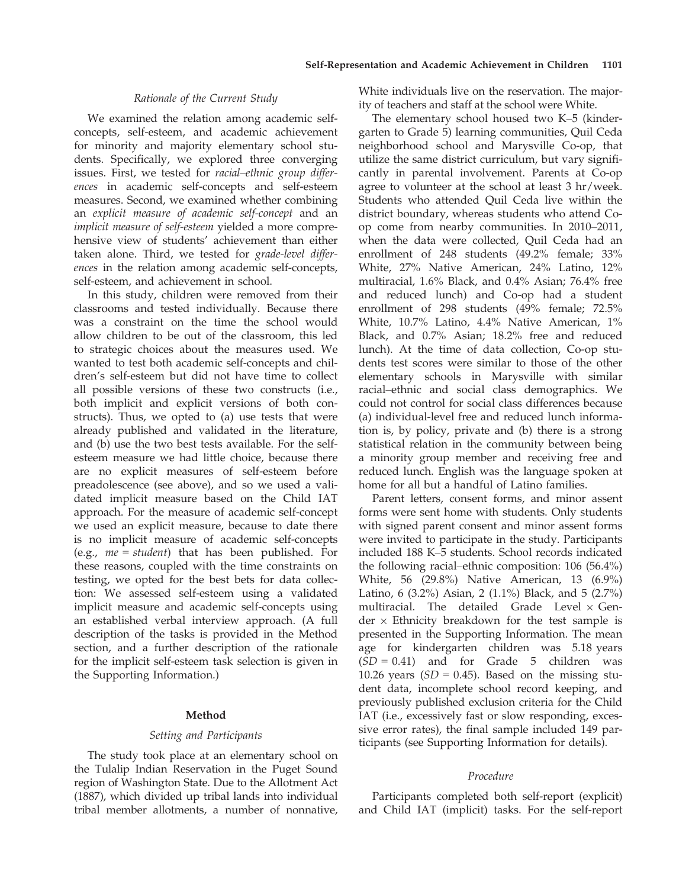## Rationale of the Current Study

We examined the relation among academic selfconcepts, self-esteem, and academic achievement for minority and majority elementary school students. Specifically, we explored three converging issues. First, we tested for racial–ethnic group differences in academic self-concepts and self-esteem measures. Second, we examined whether combining an explicit measure of academic self-concept and an implicit measure of self-esteem yielded a more comprehensive view of students' achievement than either taken alone. Third, we tested for grade-level differences in the relation among academic self-concepts, self-esteem, and achievement in school.

In this study, children were removed from their classrooms and tested individually. Because there was a constraint on the time the school would allow children to be out of the classroom, this led to strategic choices about the measures used. We wanted to test both academic self-concepts and children's self-esteem but did not have time to collect all possible versions of these two constructs (i.e., both implicit and explicit versions of both constructs). Thus, we opted to (a) use tests that were already published and validated in the literature, and (b) use the two best tests available. For the selfesteem measure we had little choice, because there are no explicit measures of self-esteem before preadolescence (see above), and so we used a validated implicit measure based on the Child IAT approach. For the measure of academic self-concept we used an explicit measure, because to date there is no implicit measure of academic self-concepts (e.g.,  $me = student$ ) that has been published. For these reasons, coupled with the time constraints on testing, we opted for the best bets for data collection: We assessed self-esteem using a validated implicit measure and academic self-concepts using an established verbal interview approach. (A full description of the tasks is provided in the Method section, and a further description of the rationale for the implicit self-esteem task selection is given in the Supporting Information.)

#### Method

## Setting and Participants

The study took place at an elementary school on the Tulalip Indian Reservation in the Puget Sound region of Washington State. Due to the Allotment Act (1887), which divided up tribal lands into individual tribal member allotments, a number of nonnative, White individuals live on the reservation. The majority of teachers and staff at the school were White.

The elementary school housed two K–5 (kindergarten to Grade 5) learning communities, Quil Ceda neighborhood school and Marysville Co-op, that utilize the same district curriculum, but vary significantly in parental involvement. Parents at Co-op agree to volunteer at the school at least 3 hr/week. Students who attended Quil Ceda live within the district boundary, whereas students who attend Coop come from nearby communities. In 2010–2011, when the data were collected, Quil Ceda had an enrollment of 248 students (49.2% female; 33% White, 27% Native American, 24% Latino, 12% multiracial, 1.6% Black, and 0.4% Asian; 76.4% free and reduced lunch) and Co-op had a student enrollment of 298 students (49% female; 72.5% White, 10.7% Latino, 4.4% Native American, 1% Black, and 0.7% Asian; 18.2% free and reduced lunch). At the time of data collection, Co-op students test scores were similar to those of the other elementary schools in Marysville with similar racial–ethnic and social class demographics. We could not control for social class differences because (a) individual-level free and reduced lunch information is, by policy, private and (b) there is a strong statistical relation in the community between being a minority group member and receiving free and reduced lunch. English was the language spoken at home for all but a handful of Latino families.

Parent letters, consent forms, and minor assent forms were sent home with students. Only students with signed parent consent and minor assent forms were invited to participate in the study. Participants included 188 K–5 students. School records indicated the following racial–ethnic composition: 106 (56.4%) White, 56 (29.8%) Native American, 13 (6.9%) Latino, 6 (3.2%) Asian, 2 (1.1%) Black, and 5 (2.7%) multiracial. The detailed Grade Level  $\times$  Gen $der \times$  Ethnicity breakdown for the test sample is presented in the Supporting Information. The mean age for kindergarten children was 5.18 years  $(SD = 0.41)$  and for Grade 5 children was 10.26 years ( $SD = 0.45$ ). Based on the missing student data, incomplete school record keeping, and previously published exclusion criteria for the Child IAT (i.e., excessively fast or slow responding, excessive error rates), the final sample included 149 participants (see Supporting Information for details).

#### Procedure

Participants completed both self-report (explicit) and Child IAT (implicit) tasks. For the self-report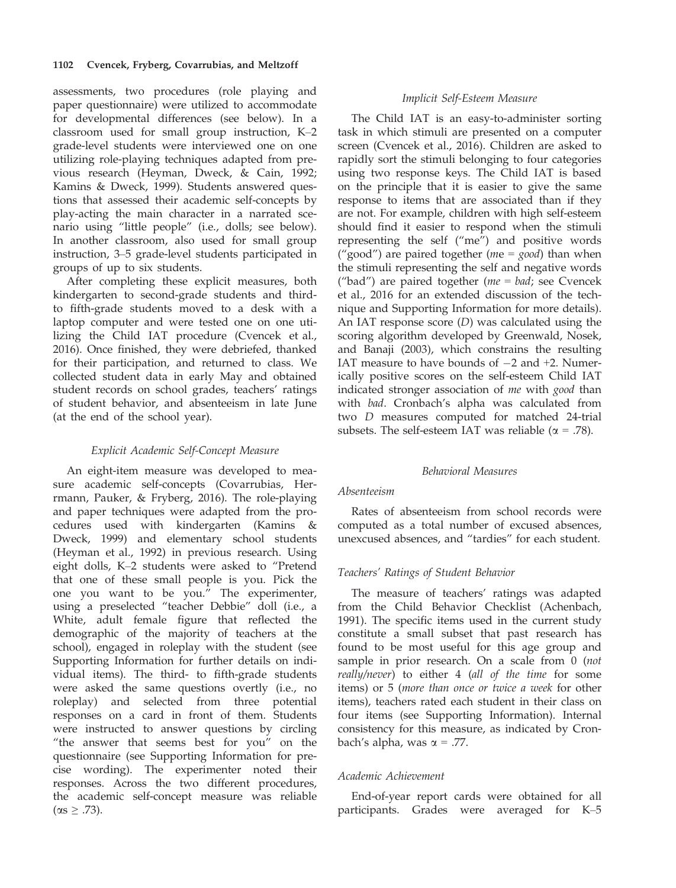assessments, two procedures (role playing and paper questionnaire) were utilized to accommodate for developmental differences (see below). In a classroom used for small group instruction, K–2 grade-level students were interviewed one on one utilizing role-playing techniques adapted from previous research (Heyman, Dweck, & Cain, 1992; Kamins & Dweck, 1999). Students answered questions that assessed their academic self-concepts by play-acting the main character in a narrated scenario using "little people" (i.e., dolls; see below). In another classroom, also used for small group instruction, 3–5 grade-level students participated in groups of up to six students.

After completing these explicit measures, both kindergarten to second-grade students and thirdto fifth-grade students moved to a desk with a laptop computer and were tested one on one utilizing the Child IAT procedure (Cvencek et al., 2016). Once finished, they were debriefed, thanked for their participation, and returned to class. We collected student data in early May and obtained student records on school grades, teachers' ratings of student behavior, and absenteeism in late June (at the end of the school year).

# Explicit Academic Self-Concept Measure

An eight-item measure was developed to measure academic self-concepts (Covarrubias, Herrmann, Pauker, & Fryberg, 2016). The role-playing and paper techniques were adapted from the procedures used with kindergarten (Kamins & Dweck, 1999) and elementary school students (Heyman et al., 1992) in previous research. Using eight dolls, K–2 students were asked to "Pretend that one of these small people is you. Pick the one you want to be you." The experimenter, using a preselected "teacher Debbie" doll (i.e., a White, adult female figure that reflected the demographic of the majority of teachers at the school), engaged in roleplay with the student (see Supporting Information for further details on individual items). The third- to fifth-grade students were asked the same questions overtly (i.e., no roleplay) and selected from three potential responses on a card in front of them. Students were instructed to answer questions by circling "the answer that seems best for you" on the questionnaire (see Supporting Information for precise wording). The experimenter noted their responses. Across the two different procedures, the academic self-concept measure was reliable  $(\alpha s \geq .73)$ .

## Implicit Self-Esteem Measure

The Child IAT is an easy-to-administer sorting task in which stimuli are presented on a computer screen (Cvencek et al., 2016). Children are asked to rapidly sort the stimuli belonging to four categories using two response keys. The Child IAT is based on the principle that it is easier to give the same response to items that are associated than if they are not. For example, children with high self-esteem should find it easier to respond when the stimuli representing the self ("me") and positive words ("good") are paired together ( $me = good$ ) than when the stimuli representing the self and negative words ("bad") are paired together ( $me = bad$ ; see Cvencek et al., 2016 for an extended discussion of the technique and Supporting Information for more details). An IAT response score (D) was calculated using the scoring algorithm developed by Greenwald, Nosek, and Banaji (2003), which constrains the resulting IAT measure to have bounds of  $-2$  and  $+2$ . Numerically positive scores on the self-esteem Child IAT indicated stronger association of me with good than with bad. Cronbach's alpha was calculated from two D measures computed for matched 24-trial subsets. The self-esteem IAT was reliable ( $\alpha$  = .78).

#### Behavioral Measures

# Absenteeism

Rates of absenteeism from school records were computed as a total number of excused absences, unexcused absences, and "tardies" for each student.

# Teachers' Ratings of Student Behavior

The measure of teachers' ratings was adapted from the Child Behavior Checklist (Achenbach, 1991). The specific items used in the current study constitute a small subset that past research has found to be most useful for this age group and sample in prior research. On a scale from 0 (not really/never) to either 4 (all of the time for some items) or 5 (more than once or twice a week for other items), teachers rated each student in their class on four items (see Supporting Information). Internal consistency for this measure, as indicated by Cronbach's alpha, was  $\alpha = .77$ .

# Academic Achievement

End-of-year report cards were obtained for all participants. Grades were averaged for K–5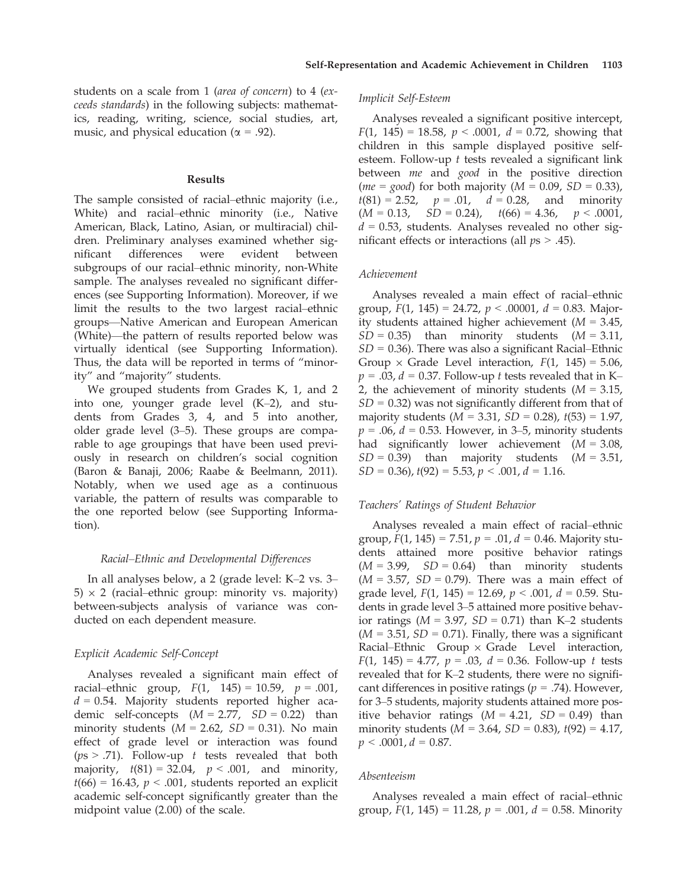students on a scale from 1 (area of concern) to 4 (exceeds standards) in the following subjects: mathematics, reading, writing, science, social studies, art, music, and physical education ( $\alpha$  = .92).

#### **Results**

The sample consisted of racial–ethnic majority (i.e., White) and racial–ethnic minority (i.e., Native American, Black, Latino, Asian, or multiracial) children. Preliminary analyses examined whether significant differences were evident between subgroups of our racial–ethnic minority, non-White sample. The analyses revealed no significant differences (see Supporting Information). Moreover, if we limit the results to the two largest racial–ethnic groups—Native American and European American (White)—the pattern of results reported below was virtually identical (see Supporting Information). Thus, the data will be reported in terms of "minority" and "majority" students.

We grouped students from Grades K, 1, and 2 into one, younger grade level (K–2), and students from Grades 3, 4, and 5 into another, older grade level (3–5). These groups are comparable to age groupings that have been used previously in research on children's social cognition (Baron & Banaji, 2006; Raabe & Beelmann, 2011). Notably, when we used age as a continuous variable, the pattern of results was comparable to the one reported below (see Supporting Information).

#### Racial–Ethnic and Developmental Differences

In all analyses below, a 2 (grade level: K–2 vs. 3– 5)  $\times$  2 (racial–ethnic group: minority vs. majority) between-subjects analysis of variance was conducted on each dependent measure.

# Explicit Academic Self-Concept

Analyses revealed a significant main effect of racial–ethnic group,  $F(1, 145) = 10.59$ ,  $p = .001$ ,  $d = 0.54$ . Majority students reported higher academic self-concepts  $(M = 2.77, SD = 0.22)$  than minority students ( $M = 2.62$ ,  $SD = 0.31$ ). No main effect of grade level or interaction was found ( $ps$  > .71). Follow-up t tests revealed that both majority,  $t(81) = 32.04$ ,  $p < .001$ , and minority,  $t(66) = 16.43$ ,  $p < .001$ , students reported an explicit academic self-concept significantly greater than the midpoint value (2.00) of the scale.

#### Implicit Self-Esteem

Analyses revealed a significant positive intercept,  $F(1, 145) = 18.58$ ,  $p < .0001$ ,  $d = 0.72$ , showing that children in this sample displayed positive selfesteem. Follow-up t tests revealed a significant link between *me* and *good* in the positive direction (*me = good*) for both majority ( $M = 0.09$ ,  $SD = 0.33$ ),  $t(81) = 2.52$ ,  $p = .01$ ,  $d = 0.28$ , and minority  $(M = 0.13, SD = 0.24), t(66) = 4.36, p < .0001,$  $d = 0.53$ , students. Analyses revealed no other significant effects or interactions (all  $ps > .45$ ).

#### Achievement

Analyses revealed a main effect of racial–ethnic group,  $F(1, 145) = 24.72$ ,  $p < .00001$ ,  $d = 0.83$ . Majority students attained higher achievement  $(M = 3.45)$ ,  $SD = 0.35$ ) than minority students  $(M = 3.11)$ ,  $SD = 0.36$ ). There was also a significant Racial–Ethnic Group  $\times$  Grade Level interaction,  $F(1, 145) = 5.06$ ,  $p = .03$ ,  $d = 0.37$ . Follow-up t tests revealed that in K-2, the achievement of minority students  $(M = 3.15)$ ,  $SD = 0.32$ ) was not significantly different from that of majority students ( $M = 3.31$ ,  $SD = 0.28$ ),  $t(53) = 1.97$ ,  $p = .06$ ,  $d = 0.53$ . However, in 3–5, minority students had significantly lower achievement  $(M = 3.08)$ ,  $SD = 0.39$ ) than majority students  $(M = 3.51)$ ,  $SD = 0.36$ ,  $t(92) = 5.53$ ,  $p < .001$ ,  $d = 1.16$ .

# Teachers' Ratings of Student Behavior

Analyses revealed a main effect of racial–ethnic group,  $F(1, 145) = 7.51$ ,  $p = .01$ ,  $d = 0.46$ . Majority students attained more positive behavior ratings  $(M = 3.99, SD = 0.64)$  than minority students  $(M = 3.57, SD = 0.79)$ . There was a main effect of grade level,  $F(1, 145) = 12.69$ ,  $p < .001$ ,  $d = 0.59$ . Students in grade level 3–5 attained more positive behavior ratings ( $M = 3.97$ ,  $SD = 0.71$ ) than K-2 students  $(M = 3.51, SD = 0.71)$ . Finally, there was a significant Racial–Ethnic Group  $\times$  Grade Level interaction,  $F(1, 145) = 4.77$ ,  $p = .03$ ,  $d = 0.36$ . Follow-up t tests revealed that for K–2 students, there were no significant differences in positive ratings ( $p = .74$ ). However, for 3–5 students, majority students attained more positive behavior ratings  $(M = 4.21, SD = 0.49)$  than minority students ( $M = 3.64$ ,  $SD = 0.83$ ),  $t(92) = 4.17$ ,  $p < .0001, d = 0.87.$ 

# Absenteeism

Analyses revealed a main effect of racial–ethnic group,  $F(1, 145) = 11.28$ ,  $p = .001$ ,  $d = 0.58$ . Minority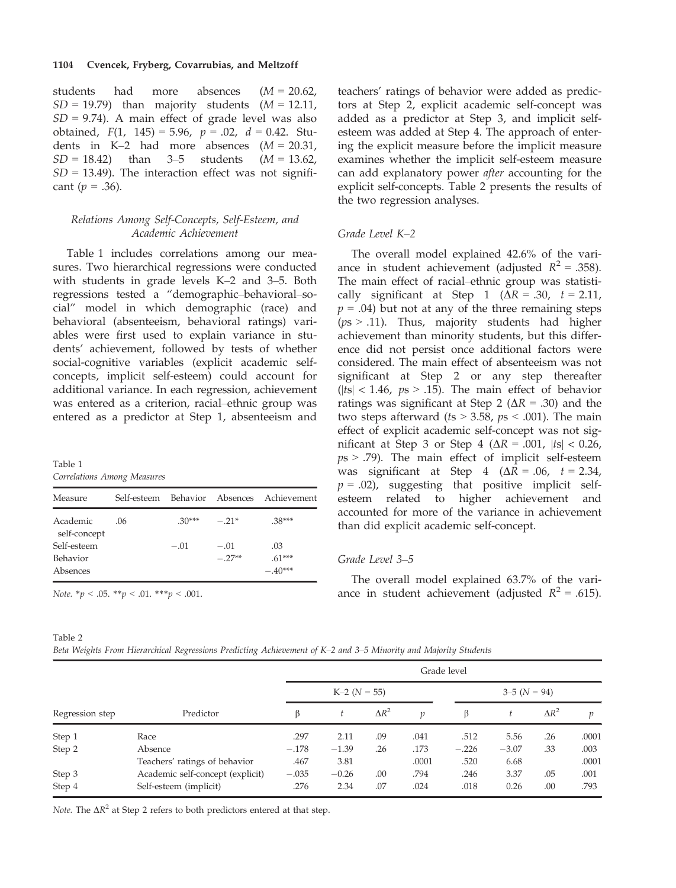students had more absences (M = 20.62,  $SD = 19.79$ ) than majority students ( $M = 12.11$ ,  $SD = 9.74$ ). A main effect of grade level was also obtained,  $F(1, 145) = 5.96$ ,  $p = .02$ ,  $d = 0.42$ . Students in K–2 had more absences  $(M = 20.31, SD = 18.42)$  than 3–5 students  $(M = 13.62, N = 18.62)$  $SD = 18.42$ ) than  $3-5$  students  $(M = 13.62)$ ,  $SD = 13.49$ ). The interaction effect was not significant ( $p = .36$ ).

# Relations Among Self-Concepts, Self-Esteem, and Academic Achievement

Table 1 includes correlations among our measures. Two hierarchical regressions were conducted with students in grade levels K–2 and 3–5. Both regressions tested a "demographic–behavioral–social" model in which demographic (race) and behavioral (absenteeism, behavioral ratings) variables were first used to explain variance in students' achievement, followed by tests of whether social-cognitive variables (explicit academic selfconcepts, implicit self-esteem) could account for additional variance. In each regression, achievement was entered as a criterion, racial–ethnic group was entered as a predictor at Step 1, absenteeism and

Table 1 Correlations Among Measures

| Measure                  | Self-esteem |          |                    | Behavior Absences Achievement |
|--------------------------|-------------|----------|--------------------|-------------------------------|
| Academic<br>self-concept | .06         | $.30***$ | $-.21*$            | $.38***$                      |
| Self-esteem<br>Behavior  |             | $-.01$   | $-.01$<br>$-.27**$ | .03<br>$.61***$               |
| Absences                 |             |          |                    | $-.40***$                     |

Note. \*  $p < .05$ . \* \*  $p < .01$ . \* \* \*  $p < .001$ .

teachers' ratings of behavior were added as predictors at Step 2, explicit academic self-concept was added as a predictor at Step 3, and implicit selfesteem was added at Step 4. The approach of entering the explicit measure before the implicit measure examines whether the implicit self-esteem measure can add explanatory power after accounting for the explicit self-concepts. Table 2 presents the results of the two regression analyses.

## Grade Level K–2

The overall model explained 42.6% of the variance in student achievement (adjusted  $R^2$  = .358). The main effect of racial–ethnic group was statistically significant at Step 1 ( $\Delta R = .30$ ,  $t = 2.11$ ,  $p = .04$ ) but not at any of the three remaining steps  $(ps > .11)$ . Thus, majority students had higher achievement than minority students, but this difference did not persist once additional factors were considered. The main effect of absenteeism was not significant at Step 2 or any step thereafter ( $|ts|$  < 1.46,  $ps$  > .15). The main effect of behavior ratings was significant at Step 2 ( $\Delta R = .30$ ) and the two steps afterward ( $ts > 3.58$ ,  $ps < .001$ ). The main effect of explicit academic self-concept was not significant at Step 3 or Step 4 ( $\Delta R = .001$ ,  $|ts| < 0.26$ ,  $ps > .79$ ). The main effect of implicit self-esteem was significant at Step 4 ( $\Delta R = .06$ ,  $t = 2.34$ ,  $p = .02$ ), suggesting that positive implicit selfesteem related to higher achievement and accounted for more of the variance in achievement than did explicit academic self-concept.

## Grade Level 3–5

The overall model explained 63.7% of the variance in student achievement (adjusted  $R^2$  = .615).

| веш vveignts From Fuerarchical Regressions Preatcting Achievement of K–2 and 5–5 ivithority and iviajority Students |                                  |                |         |              |               |         |         |              |       |  |  |
|---------------------------------------------------------------------------------------------------------------------|----------------------------------|----------------|---------|--------------|---------------|---------|---------|--------------|-------|--|--|
|                                                                                                                     |                                  | Grade level    |         |              |               |         |         |              |       |  |  |
|                                                                                                                     |                                  | K-2 $(N = 55)$ |         |              | $3-5(N = 94)$ |         |         |              |       |  |  |
| Regression step                                                                                                     | Predictor                        | B              |         | $\Delta R^2$ | p             | β       |         | $\Delta R^2$ |       |  |  |
| Step 1                                                                                                              | Race                             | .297           | 2.11    | .09          | .041          | .512    | 5.56    | .26          | .0001 |  |  |
| Step 2                                                                                                              | Absence                          | $-.178$        | $-1.39$ | .26          | .173          | $-.226$ | $-3.07$ | .33          | .003  |  |  |
|                                                                                                                     | Teachers' ratings of behavior    | .467           | 3.81    |              | .0001         | .520    | 6.68    |              | .0001 |  |  |
| Step 3                                                                                                              | Academic self-concept (explicit) | $-.035$        | $-0.26$ | .00          | .794          | .246    | 3.37    | .05          | .001  |  |  |
| Step 4                                                                                                              | Self-esteem (implicit)           | .276           | 2.34    | .07          | .024          | .018    | 0.26    | .00          | .793  |  |  |

Table 2 Beta Weights From Hierarchical Regressions Predicting Achievement of K–2 and 3–5 Minority and Majority Students

Note. The  $\Delta R^2$  at Step 2 refers to both predictors entered at that step.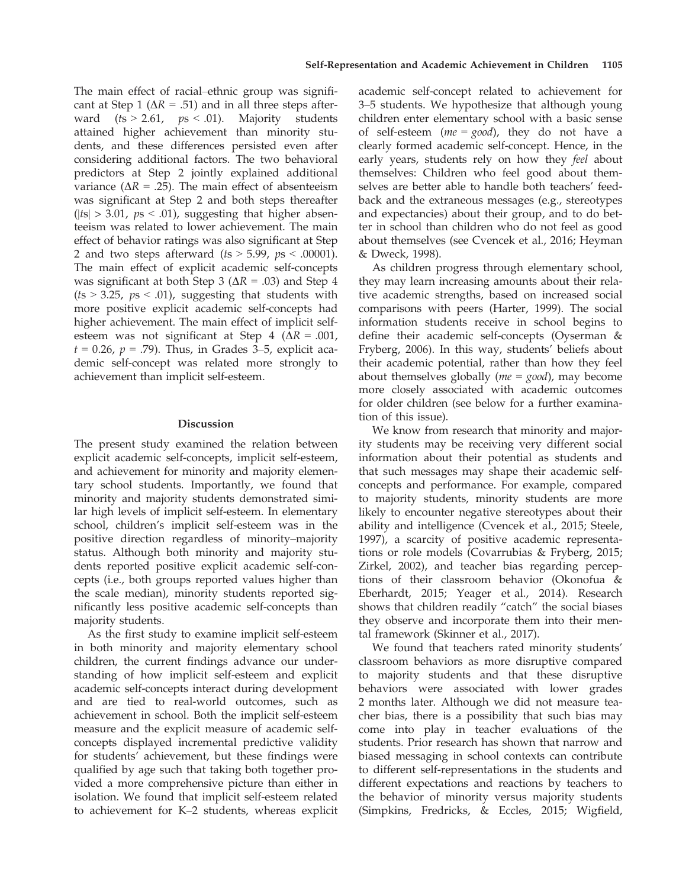The main effect of racial–ethnic group was significant at Step 1 ( $\Delta R = .51$ ) and in all three steps afterward  $(ts > 2.61, ps < .01)$ . Majority students attained higher achievement than minority students, and these differences persisted even after considering additional factors. The two behavioral predictors at Step 2 jointly explained additional variance ( $\Delta R = .25$ ). The main effect of absenteeism was significant at Step 2 and both steps thereafter  $(|ts| > 3.01$ ,  $ps < .01$ ), suggesting that higher absenteeism was related to lower achievement. The main effect of behavior ratings was also significant at Step 2 and two steps afterward ( $ts > 5.99$ ,  $ps < .00001$ ). The main effect of explicit academic self-concepts was significant at both Step 3 ( $\Delta R = .03$ ) and Step 4  $(ts > 3.25, ps < .01)$ , suggesting that students with more positive explicit academic self-concepts had higher achievement. The main effect of implicit selfesteem was not significant at Step 4 ( $\Delta R = .001$ ,  $t = 0.26$ ,  $p = .79$ ). Thus, in Grades 3–5, explicit academic self-concept was related more strongly to achievement than implicit self-esteem.

## Discussion

The present study examined the relation between explicit academic self-concepts, implicit self-esteem, and achievement for minority and majority elementary school students. Importantly, we found that minority and majority students demonstrated similar high levels of implicit self-esteem. In elementary school, children's implicit self-esteem was in the positive direction regardless of minority–majority status. Although both minority and majority students reported positive explicit academic self-concepts (i.e., both groups reported values higher than the scale median), minority students reported significantly less positive academic self-concepts than majority students.

As the first study to examine implicit self-esteem in both minority and majority elementary school children, the current findings advance our understanding of how implicit self-esteem and explicit academic self-concepts interact during development and are tied to real-world outcomes, such as achievement in school. Both the implicit self-esteem measure and the explicit measure of academic selfconcepts displayed incremental predictive validity for students' achievement, but these findings were qualified by age such that taking both together provided a more comprehensive picture than either in isolation. We found that implicit self-esteem related to achievement for K–2 students, whereas explicit

academic self-concept related to achievement for 3–5 students. We hypothesize that although young children enter elementary school with a basic sense of self-esteem ( $me = good$ ), they do not have a clearly formed academic self-concept. Hence, in the early years, students rely on how they feel about themselves: Children who feel good about themselves are better able to handle both teachers' feedback and the extraneous messages (e.g., stereotypes and expectancies) about their group, and to do better in school than children who do not feel as good about themselves (see Cvencek et al., 2016; Heyman & Dweck, 1998).

As children progress through elementary school, they may learn increasing amounts about their relative academic strengths, based on increased social comparisons with peers (Harter, 1999). The social information students receive in school begins to define their academic self-concepts (Oyserman & Fryberg, 2006). In this way, students' beliefs about their academic potential, rather than how they feel about themselves globally ( $me = good$ ), may become more closely associated with academic outcomes for older children (see below for a further examination of this issue).

We know from research that minority and majority students may be receiving very different social information about their potential as students and that such messages may shape their academic selfconcepts and performance. For example, compared to majority students, minority students are more likely to encounter negative stereotypes about their ability and intelligence (Cvencek et al., 2015; Steele, 1997), a scarcity of positive academic representations or role models (Covarrubias & Fryberg, 2015; Zirkel, 2002), and teacher bias regarding perceptions of their classroom behavior (Okonofua & Eberhardt, 2015; Yeager et al., 2014). Research shows that children readily "catch" the social biases they observe and incorporate them into their mental framework (Skinner et al., 2017).

We found that teachers rated minority students' classroom behaviors as more disruptive compared to majority students and that these disruptive behaviors were associated with lower grades 2 months later. Although we did not measure teacher bias, there is a possibility that such bias may come into play in teacher evaluations of the students. Prior research has shown that narrow and biased messaging in school contexts can contribute to different self-representations in the students and different expectations and reactions by teachers to the behavior of minority versus majority students (Simpkins, Fredricks, & Eccles, 2015; Wigfield,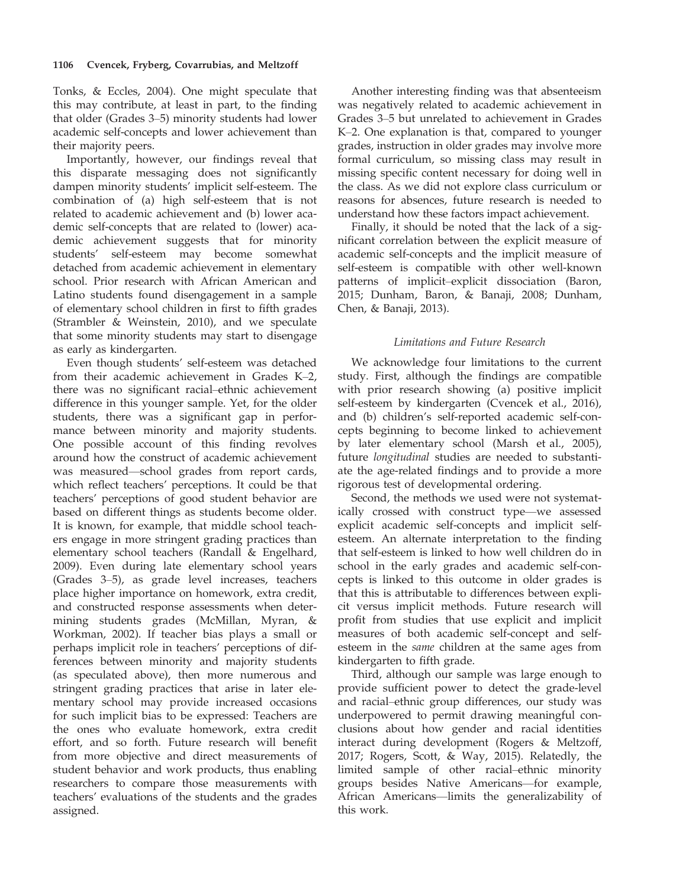Tonks, & Eccles, 2004). One might speculate that this may contribute, at least in part, to the finding that older (Grades 3–5) minority students had lower academic self-concepts and lower achievement than their majority peers.

Importantly, however, our findings reveal that this disparate messaging does not significantly dampen minority students' implicit self-esteem. The combination of (a) high self-esteem that is not related to academic achievement and (b) lower academic self-concepts that are related to (lower) academic achievement suggests that for minority students' self-esteem may become somewhat detached from academic achievement in elementary school. Prior research with African American and Latino students found disengagement in a sample of elementary school children in first to fifth grades (Strambler & Weinstein, 2010), and we speculate that some minority students may start to disengage as early as kindergarten.

Even though students' self-esteem was detached from their academic achievement in Grades K–2, there was no significant racial–ethnic achievement difference in this younger sample. Yet, for the older students, there was a significant gap in performance between minority and majority students. One possible account of this finding revolves around how the construct of academic achievement was measured—school grades from report cards, which reflect teachers' perceptions. It could be that teachers' perceptions of good student behavior are based on different things as students become older. It is known, for example, that middle school teachers engage in more stringent grading practices than elementary school teachers (Randall & Engelhard, 2009). Even during late elementary school years (Grades 3–5), as grade level increases, teachers place higher importance on homework, extra credit, and constructed response assessments when determining students grades (McMillan, Myran, & Workman, 2002). If teacher bias plays a small or perhaps implicit role in teachers' perceptions of differences between minority and majority students (as speculated above), then more numerous and stringent grading practices that arise in later elementary school may provide increased occasions for such implicit bias to be expressed: Teachers are the ones who evaluate homework, extra credit effort, and so forth. Future research will benefit from more objective and direct measurements of student behavior and work products, thus enabling researchers to compare those measurements with teachers' evaluations of the students and the grades assigned.

Another interesting finding was that absenteeism was negatively related to academic achievement in Grades 3–5 but unrelated to achievement in Grades K–2. One explanation is that, compared to younger grades, instruction in older grades may involve more formal curriculum, so missing class may result in missing specific content necessary for doing well in the class. As we did not explore class curriculum or reasons for absences, future research is needed to understand how these factors impact achievement.

Finally, it should be noted that the lack of a significant correlation between the explicit measure of academic self-concepts and the implicit measure of self-esteem is compatible with other well-known patterns of implicit–explicit dissociation (Baron, 2015; Dunham, Baron, & Banaji, 2008; Dunham, Chen, & Banaji, 2013).

# Limitations and Future Research

We acknowledge four limitations to the current study. First, although the findings are compatible with prior research showing (a) positive implicit self-esteem by kindergarten (Cvencek et al., 2016), and (b) children's self-reported academic self-concepts beginning to become linked to achievement by later elementary school (Marsh et al., 2005), future longitudinal studies are needed to substantiate the age-related findings and to provide a more rigorous test of developmental ordering.

Second, the methods we used were not systematically crossed with construct type—we assessed explicit academic self-concepts and implicit selfesteem. An alternate interpretation to the finding that self-esteem is linked to how well children do in school in the early grades and academic self-concepts is linked to this outcome in older grades is that this is attributable to differences between explicit versus implicit methods. Future research will profit from studies that use explicit and implicit measures of both academic self-concept and selfesteem in the same children at the same ages from kindergarten to fifth grade.

Third, although our sample was large enough to provide sufficient power to detect the grade-level and racial–ethnic group differences, our study was underpowered to permit drawing meaningful conclusions about how gender and racial identities interact during development (Rogers & Meltzoff, 2017; Rogers, Scott, & Way, 2015). Relatedly, the limited sample of other racial–ethnic minority groups besides Native Americans—for example, African Americans—limits the generalizability of this work.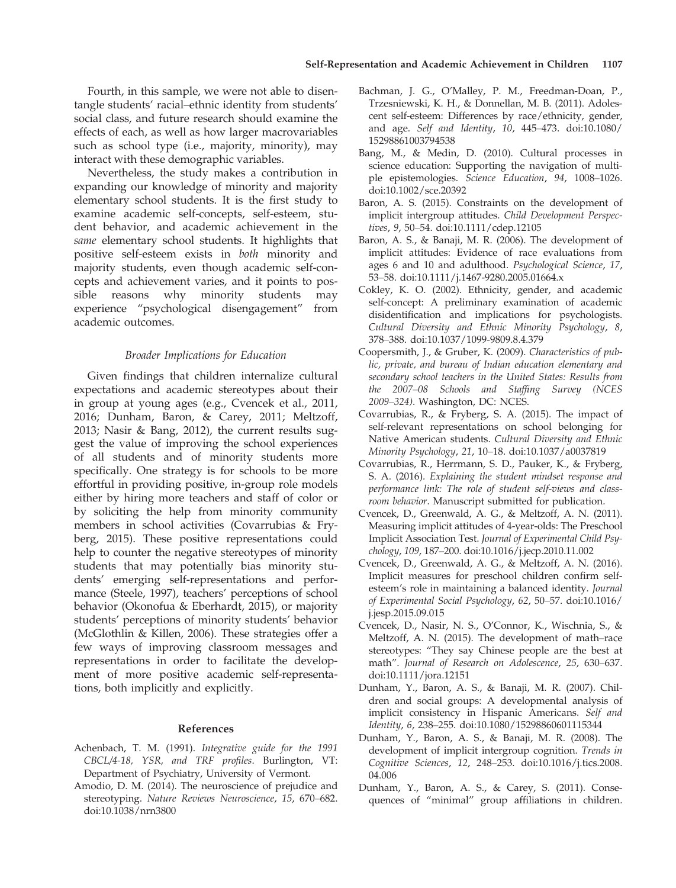Fourth, in this sample, we were not able to disentangle students' racial–ethnic identity from students' social class, and future research should examine the effects of each, as well as how larger macrovariables such as school type (i.e., majority, minority), may interact with these demographic variables.

Nevertheless, the study makes a contribution in expanding our knowledge of minority and majority elementary school students. It is the first study to examine academic self-concepts, self-esteem, student behavior, and academic achievement in the same elementary school students. It highlights that positive self-esteem exists in both minority and majority students, even though academic self-concepts and achievement varies, and it points to possible reasons why minority students may experience "psychological disengagement" from academic outcomes.

## Broader Implications for Education

Given findings that children internalize cultural expectations and academic stereotypes about their in group at young ages (e.g., Cvencek et al., 2011, 2016; Dunham, Baron, & Carey, 2011; Meltzoff, 2013; Nasir & Bang, 2012), the current results suggest the value of improving the school experiences of all students and of minority students more specifically. One strategy is for schools to be more effortful in providing positive, in-group role models either by hiring more teachers and staff of color or by soliciting the help from minority community members in school activities (Covarrubias & Fryberg, 2015). These positive representations could help to counter the negative stereotypes of minority students that may potentially bias minority students' emerging self-representations and performance (Steele, 1997), teachers' perceptions of school behavior (Okonofua & Eberhardt, 2015), or majority students' perceptions of minority students' behavior (McGlothlin & Killen, 2006). These strategies offer a few ways of improving classroom messages and representations in order to facilitate the development of more positive academic self-representations, both implicitly and explicitly.

#### References

- Achenbach, T. M. (1991). Integrative guide for the 1991 CBCL/4-18, YSR, and TRF profiles. Burlington, VT: Department of Psychiatry, University of Vermont.
- Amodio, D. M. (2014). The neuroscience of prejudice and stereotyping. Nature Reviews Neuroscience, 15, 670–682. doi[:10.1038/nrn3800](https://doi.org/10.1038/nrn3800)
- Bachman, J. G., O'Malley, P. M., Freedman-Doan, P., Trzesniewski, K. H., & Donnellan, M. B. (2011). Adolescent self-esteem: Differences by race/ethnicity, gender, and age. Self and Identity, 10, 445–473. doi:[10.1080/](https://doi.org/10.1080/15298861003794538) [15298861003794538](https://doi.org/10.1080/15298861003794538)
- Bang, M., & Medin, D. (2010). Cultural processes in science education: Supporting the navigation of multiple epistemologies. Science Education, 94, 1008–1026. doi:[10.1002/sce.20392](https://doi.org/10.1002/sce.20392)
- Baron, A. S. (2015). Constraints on the development of implicit intergroup attitudes. Child Development Perspectives, 9, 50–54. doi[:10.1111/cdep.12105](https://doi.org/10.1111/cdep.12105)
- Baron, A. S., & Banaji, M. R. (2006). The development of implicit attitudes: Evidence of race evaluations from ages 6 and 10 and adulthood. Psychological Science, 17, 53–58. doi:[10.1111/j.1467-9280.2005.01664.x](https://doi.org/10.1111/j.1467-9280.2005.01664.x)
- Cokley, K. O. (2002). Ethnicity, gender, and academic self-concept: A preliminary examination of academic disidentification and implications for psychologists. Cultural Diversity and Ethnic Minority Psychology, 8, 378–388. doi[:10.1037/1099-9809.8.4.379](https://doi.org/10.1037/1099-9809.8.4.379)
- Coopersmith, J., & Gruber, K. (2009). Characteristics of public, private, and bureau of Indian education elementary and secondary school teachers in the United States: Results from the 2007–08 Schools and Staffing Survey (NCES 2009–324). Washington, DC: NCES.
- Covarrubias, R., & Fryberg, S. A. (2015). The impact of self-relevant representations on school belonging for Native American students. Cultural Diversity and Ethnic Minority Psychology, 21, 10–18. doi:[10.1037/a0037819](https://doi.org/10.1037/a0037819)
- Covarrubias, R., Herrmann, S. D., Pauker, K., & Fryberg, S. A. (2016). Explaining the student mindset response and performance link: The role of student self-views and classroom behavior. Manuscript submitted for publication.
- Cvencek, D., Greenwald, A. G., & Meltzoff, A. N. (2011). Measuring implicit attitudes of 4-year-olds: The Preschool Implicit Association Test. Journal of Experimental Child Psychology, 109, 187–200. doi:[10.1016/j.jecp.2010.11.002](https://doi.org/10.1016/j.jecp.2010.11.002)
- Cvencek, D., Greenwald, A. G., & Meltzoff, A. N. (2016). Implicit measures for preschool children confirm selfesteem's role in maintaining a balanced identity. Journal of Experimental Social Psychology, 62, 50–57. doi:[10.1016/](https://doi.org/10.1016/j.jesp.2015.09.015) [j.jesp.2015.09.015](https://doi.org/10.1016/j.jesp.2015.09.015)
- Cvencek, D., Nasir, N. S., O'Connor, K., Wischnia, S., & Meltzoff, A. N. (2015). The development of math–race stereotypes: "They say Chinese people are the best at math". Journal of Research on Adolescence, 25, 630–637. doi:[10.1111/jora.12151](https://doi.org/10.1111/jora.12151)
- Dunham, Y., Baron, A. S., & Banaji, M. R. (2007). Children and social groups: A developmental analysis of implicit consistency in Hispanic Americans. Self and Identity, 6, 238–255. doi:[10.1080/15298860601115344](https://doi.org/10.1080/15298860601115344)
- Dunham, Y., Baron, A. S., & Banaji, M. R. (2008). The development of implicit intergroup cognition. Trends in Cognitive Sciences, 12, 248–253. doi[:10.1016/j.tics.2008.](https://doi.org/10.1016/j.tics.2008.04.006) [04.006](https://doi.org/10.1016/j.tics.2008.04.006)
- Dunham, Y., Baron, A. S., & Carey, S. (2011). Consequences of "minimal" group affiliations in children.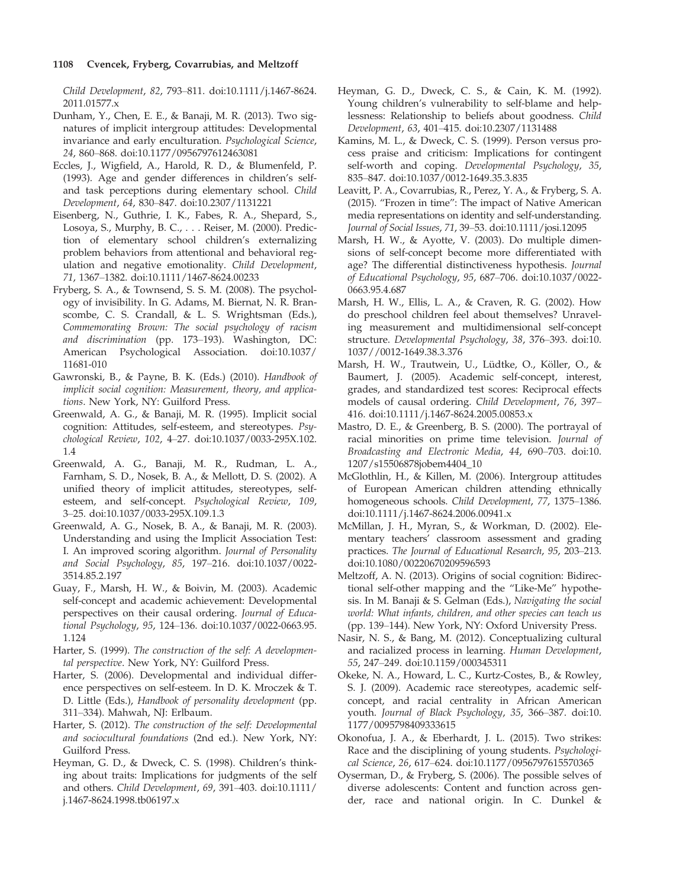Child Development, 82, 793–811. doi[:10.1111/j.1467-8624.](https://doi.org/10.1111/j.1467-8624.2011.01577.x) [2011.01577.x](https://doi.org/10.1111/j.1467-8624.2011.01577.x)

- Dunham, Y., Chen, E. E., & Banaji, M. R. (2013). Two signatures of implicit intergroup attitudes: Developmental invariance and early enculturation. Psychological Science, 24, 860–868. doi[:10.1177/0956797612463081](https://doi.org/10.1177/0956797612463081)
- Eccles, J., Wigfield, A., Harold, R. D., & Blumenfeld, P. (1993). Age and gender differences in children's selfand task perceptions during elementary school. Child Development, 64, 830–847. doi:[10.2307/1131221](https://doi.org/10.2307/1131221)
- Eisenberg, N., Guthrie, I. K., Fabes, R. A., Shepard, S., Losoya, S., Murphy, B. C., . . . Reiser, M. (2000). Prediction of elementary school children's externalizing problem behaviors from attentional and behavioral regulation and negative emotionality. Child Development, 71, 1367–1382. doi[:10.1111/1467-8624.00233](https://doi.org/10.1111/1467-8624.00233)
- Fryberg, S. A., & Townsend, S. S. M. (2008). The psychology of invisibility. In G. Adams, M. Biernat, N. R. Branscombe, C. S. Crandall, & L. S. Wrightsman (Eds.), Commemorating Brown: The social psychology of racism and discrimination (pp. 173–193). Washington, DC: American Psychological Association. doi:[10.1037/](https://doi.org/10.1037/11681-010) [11681-010](https://doi.org/10.1037/11681-010)
- Gawronski, B., & Payne, B. K. (Eds.) (2010). Handbook of implicit social cognition: Measurement, theory, and applications. New York, NY: Guilford Press.
- Greenwald, A. G., & Banaji, M. R. (1995). Implicit social cognition: Attitudes, self-esteem, and stereotypes. Psychological Review, 102, 4–27. doi[:10.1037/0033-295X.102.](https://doi.org/10.1037/0033-295X.102.1.4) [1.4](https://doi.org/10.1037/0033-295X.102.1.4)
- Greenwald, A. G., Banaji, M. R., Rudman, L. A., Farnham, S. D., Nosek, B. A., & Mellott, D. S. (2002). A unified theory of implicit attitudes, stereotypes, selfesteem, and self-concept. Psychological Review, 109, 3–25. doi:[10.1037/0033-295X.109.1.3](https://doi.org/10.1037/0033-295X.109.1.3)
- Greenwald, A. G., Nosek, B. A., & Banaji, M. R. (2003). Understanding and using the Implicit Association Test: I. An improved scoring algorithm. Journal of Personality and Social Psychology, 85, 197–216. doi:[10.1037/0022-](https://doi.org/10.1037/0022-3514.85.2.197) [3514.85.2.197](https://doi.org/10.1037/0022-3514.85.2.197)
- Guay, F., Marsh, H. W., & Boivin, M. (2003). Academic self-concept and academic achievement: Developmental perspectives on their causal ordering. Journal of Educational Psychology, 95, 124–136. doi[:10.1037/0022-0663.95.](https://doi.org/10.1037/0022-0663.95.1.124) [1.124](https://doi.org/10.1037/0022-0663.95.1.124)
- Harter, S. (1999). The construction of the self: A developmental perspective. New York, NY: Guilford Press.
- Harter, S. (2006). Developmental and individual difference perspectives on self-esteem. In D. K. Mroczek & T. D. Little (Eds.), Handbook of personality development (pp. 311–334). Mahwah, NJ: Erlbaum.
- Harter, S. (2012). The construction of the self: Developmental and sociocultural foundations (2nd ed.). New York, NY: Guilford Press.
- Heyman, G. D., & Dweck, C. S. (1998). Children's thinking about traits: Implications for judgments of the self and others. Child Development, 69, 391–403. doi:[10.1111/](https://doi.org/10.1111/j.1467-8624.1998.tb06197.x) [j.1467-8624.1998.tb06197.x](https://doi.org/10.1111/j.1467-8624.1998.tb06197.x)
- Heyman, G. D., Dweck, C. S., & Cain, K. M. (1992). Young children's vulnerability to self-blame and helplessness: Relationship to beliefs about goodness. Child Development, 63, 401–415. doi:[10.2307/1131488](https://doi.org/10.2307/1131488)
- Kamins, M. L., & Dweck, C. S. (1999). Person versus process praise and criticism: Implications for contingent self-worth and coping. Developmental Psychology, 35, 835–847. doi[:10.1037/0012-1649.35.3.835](https://doi.org/10.1037/0012-1649.35.3.835)
- Leavitt, P. A., Covarrubias, R., Perez, Y. A., & Fryberg, S. A. (2015). "Frozen in time": The impact of Native American media representations on identity and self-understanding. Journal of Social Issues, 71, 39–53. doi[:10.1111/josi.12095](https://doi.org/10.1111/josi.12095)
- Marsh, H. W., & Ayotte, V. (2003). Do multiple dimensions of self-concept become more differentiated with age? The differential distinctiveness hypothesis. Journal of Educational Psychology, 95, 687–706. doi:[10.1037/0022-](https://doi.org/10.1037/0022-0663.95.4.687) [0663.95.4.687](https://doi.org/10.1037/0022-0663.95.4.687)
- Marsh, H. W., Ellis, L. A., & Craven, R. G. (2002). How do preschool children feel about themselves? Unraveling measurement and multidimensional self-concept structure. Developmental Psychology, 38, 376–393. doi:[10.](https://doi.org/10.1037//0012-1649.38.3.376) [1037//0012-1649.38.3.376](https://doi.org/10.1037//0012-1649.38.3.376)
- Marsh, H. W., Trautwein, U., Lüdtke, O., Köller, O., & Baumert, J. (2005). Academic self-concept, interest, grades, and standardized test scores: Reciprocal effects models of causal ordering. Child Development, 76, 397– 416. doi[:10.1111/j.1467-8624.2005.00853.x](https://doi.org/10.1111/j.1467-8624.2005.00853.x)
- Mastro, D. E., & Greenberg, B. S. (2000). The portrayal of racial minorities on prime time television. Journal of Broadcasting and Electronic Media, 44, 690–703. doi:[10.](https://doi.org/10.1207/s15506878jobem4404_10) [1207/s15506878jobem4404\\_10](https://doi.org/10.1207/s15506878jobem4404_10)
- McGlothlin, H., & Killen, M. (2006). Intergroup attitudes of European American children attending ethnically homogeneous schools. Child Development, 77, 1375–1386. doi[:10.1111/j.1467-8624.2006.00941.x](https://doi.org/10.1111/j.1467-8624.2006.00941.x)
- McMillan, J. H., Myran, S., & Workman, D. (2002). Elementary teachers' classroom assessment and grading practices. The Journal of Educational Research, 95, 203–213. doi[:10.1080/00220670209596593](https://doi.org/10.1080/00220670209596593)
- Meltzoff, A. N. (2013). Origins of social cognition: Bidirectional self-other mapping and the "Like-Me" hypothesis. In M. Banaji & S. Gelman (Eds.), Navigating the social world: What infants, children, and other species can teach us (pp. 139–144). New York, NY: Oxford University Press.
- Nasir, N. S., & Bang, M. (2012). Conceptualizing cultural and racialized process in learning. Human Development, 55, 247–249. doi[:10.1159/000345311](https://doi.org/10.1159/000345311)
- Okeke, N. A., Howard, L. C., Kurtz-Costes, B., & Rowley, S. J. (2009). Academic race stereotypes, academic selfconcept, and racial centrality in African American youth. Journal of Black Psychology, 35, 366–387. doi:[10.](https://doi.org/10.1177/0095798409333615) [1177/0095798409333615](https://doi.org/10.1177/0095798409333615)
- Okonofua, J. A., & Eberhardt, J. L. (2015). Two strikes: Race and the disciplining of young students. Psychological Science, 26, 617–624. doi:[10.1177/0956797615570365](https://doi.org/10.1177/0956797615570365)
- Oyserman, D., & Fryberg, S. (2006). The possible selves of diverse adolescents: Content and function across gender, race and national origin. In C. Dunkel &